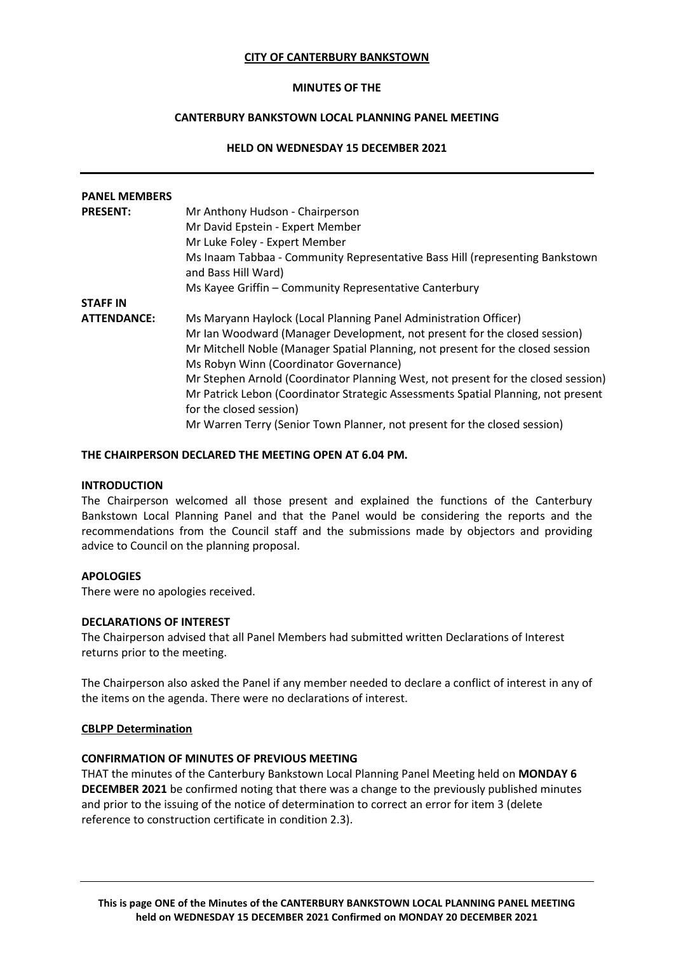### **CITY OF CANTERBURY BANKSTOWN**

### **MINUTES OF THE**

# **CANTERBURY BANKSTOWN LOCAL PLANNING PANEL MEETING**

# **HELD ON WEDNESDAY 15 DECEMBER 2021**

| <b>PANEL MEMBERS</b> |                                                                                                                                                                                                                                                                                                                                                                                                                                                                                 |
|----------------------|---------------------------------------------------------------------------------------------------------------------------------------------------------------------------------------------------------------------------------------------------------------------------------------------------------------------------------------------------------------------------------------------------------------------------------------------------------------------------------|
| <b>PRESENT:</b>      | Mr Anthony Hudson - Chairperson<br>Mr David Epstein - Expert Member<br>Mr Luke Foley - Expert Member<br>Ms Inaam Tabbaa - Community Representative Bass Hill (representing Bankstown<br>and Bass Hill Ward)                                                                                                                                                                                                                                                                     |
|                      | Ms Kayee Griffin - Community Representative Canterbury                                                                                                                                                                                                                                                                                                                                                                                                                          |
| <b>STAFF IN</b>      |                                                                                                                                                                                                                                                                                                                                                                                                                                                                                 |
| <b>ATTENDANCE:</b>   | Ms Maryann Haylock (Local Planning Panel Administration Officer)<br>Mr Ian Woodward (Manager Development, not present for the closed session)<br>Mr Mitchell Noble (Manager Spatial Planning, not present for the closed session<br>Ms Robyn Winn (Coordinator Governance)<br>Mr Stephen Arnold (Coordinator Planning West, not present for the closed session)<br>Mr Patrick Lebon (Coordinator Strategic Assessments Spatial Planning, not present<br>for the closed session) |
|                      | Mr Warren Terry (Senior Town Planner, not present for the closed session)                                                                                                                                                                                                                                                                                                                                                                                                       |

#### **THE CHAIRPERSON DECLARED THE MEETING OPEN AT 6.04 PM.**

#### **INTRODUCTION**

The Chairperson welcomed all those present and explained the functions of the Canterbury Bankstown Local Planning Panel and that the Panel would be considering the reports and the recommendations from the Council staff and the submissions made by objectors and providing advice to Council on the planning proposal.

# **APOLOGIES**

There were no apologies received.

### **DECLARATIONS OF INTEREST**

The Chairperson advised that all Panel Members had submitted written Declarations of Interest returns prior to the meeting.

The Chairperson also asked the Panel if any member needed to declare a conflict of interest in any of the items on the agenda. There were no declarations of interest.

#### **CBLPP Determination**

#### **CONFIRMATION OF MINUTES OF PREVIOUS MEETING**

THAT the minutes of the Canterbury Bankstown Local Planning Panel Meeting held on **MONDAY 6 DECEMBER 2021** be confirmed noting that there was a change to the previously published minutes and prior to the issuing of the notice of determination to correct an error for item 3 (delete reference to construction certificate in condition 2.3).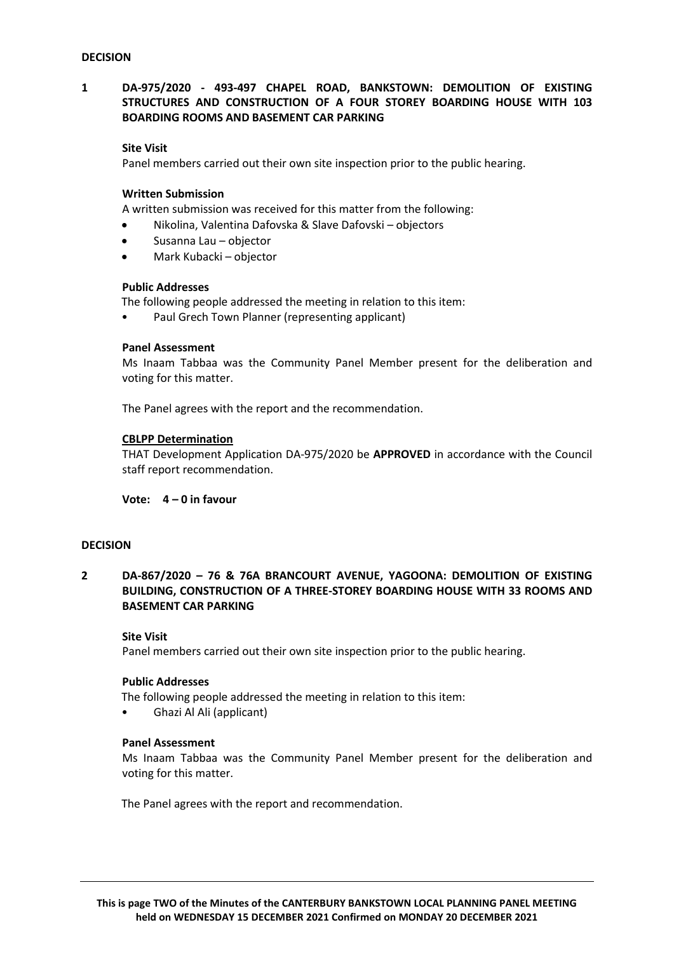# **1 DA-975/2020 - 493-497 CHAPEL ROAD, BANKSTOWN: DEMOLITION OF EXISTING STRUCTURES AND CONSTRUCTION OF A FOUR STOREY BOARDING HOUSE WITH 103 BOARDING ROOMS AND BASEMENT CAR PARKING**

# **Site Visit**

Panel members carried out their own site inspection prior to the public hearing.

### **Written Submission**

A written submission was received for this matter from the following:

- Nikolina, Valentina Dafovska & Slave Dafovski objectors
- Susanna Lau objector
- Mark Kubacki objector

#### **Public Addresses**

The following people addressed the meeting in relation to this item:

Paul Grech Town Planner (representing applicant)

#### **Panel Assessment**

Ms Inaam Tabbaa was the Community Panel Member present for the deliberation and voting for this matter.

The Panel agrees with the report and the recommendation.

### **CBLPP Determination**

THAT Development Application DA-975/2020 be **APPROVED** in accordance with the Council staff report recommendation.

**Vote: 4 – 0 in favour** 

# **DECISION**

**2 DA-867/2020 – 76 & 76A BRANCOURT AVENUE, YAGOONA: DEMOLITION OF EXISTING BUILDING, CONSTRUCTION OF A THREE-STOREY BOARDING HOUSE WITH 33 ROOMS AND BASEMENT CAR PARKING**

### **Site Visit**

Panel members carried out their own site inspection prior to the public hearing.

#### **Public Addresses**

The following people addressed the meeting in relation to this item:

• Ghazi Al Ali (applicant)

#### **Panel Assessment**

Ms Inaam Tabbaa was the Community Panel Member present for the deliberation and voting for this matter.

The Panel agrees with the report and recommendation.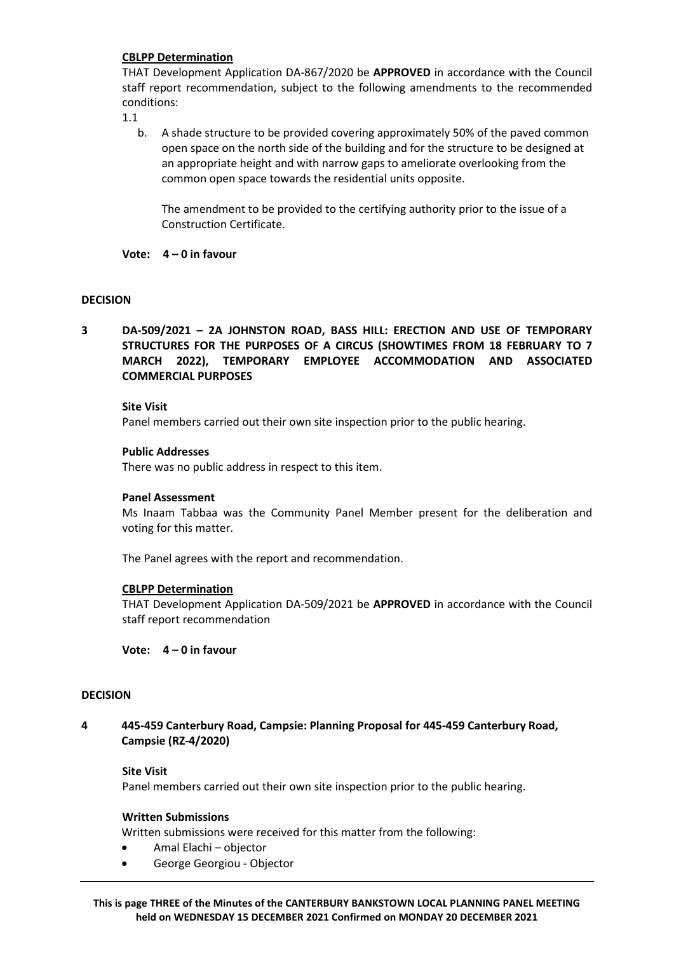# **CBLPP Determination**

THAT Development Application DA-867/2020 be **APPROVED** in accordance with the Council staff report recommendation, subject to the following amendments to the recommended conditions:

1.1

b. A shade structure to be provided covering approximately 50% of the paved common open space on the north side of the building and for the structure to be designed at an appropriate height and with narrow gaps to ameliorate overlooking from the common open space towards the residential units opposite.

The amendment to be provided to the certifying authority prior to the issue of a Construction Certificate.

# **Vote: 4 – 0 in favour**

# **DECISION**

**3 DA-509/2021 – 2A JOHNSTON ROAD, BASS HILL: ERECTION AND USE OF TEMPORARY STRUCTURES FOR THE PURPOSES OF A CIRCUS (SHOWTIMES FROM 18 FEBRUARY TO 7 MARCH 2022), TEMPORARY EMPLOYEE ACCOMMODATION AND ASSOCIATED COMMERCIAL PURPOSES**

# **Site Visit**

Panel members carried out their own site inspection prior to the public hearing.

### **Public Addresses**

There was no public address in respect to this item.

#### **Panel Assessment**

Ms Inaam Tabbaa was the Community Panel Member present for the deliberation and voting for this matter.

The Panel agrees with the report and recommendation.

# **CBLPP Determination**

THAT Development Application DA-509/2021 be **APPROVED** in accordance with the Council staff report recommendation

**Vote: 4 – 0 in favour** 

#### **DECISION**

**4 445-459 Canterbury Road, Campsie: Planning Proposal for 445-459 Canterbury Road, Campsie (RZ-4/2020)**

#### **Site Visit**

Panel members carried out their own site inspection prior to the public hearing.

#### **Written Submissions**

Written submissions were received for this matter from the following:

- Amal Elachi objector
- George Georgiou Objector